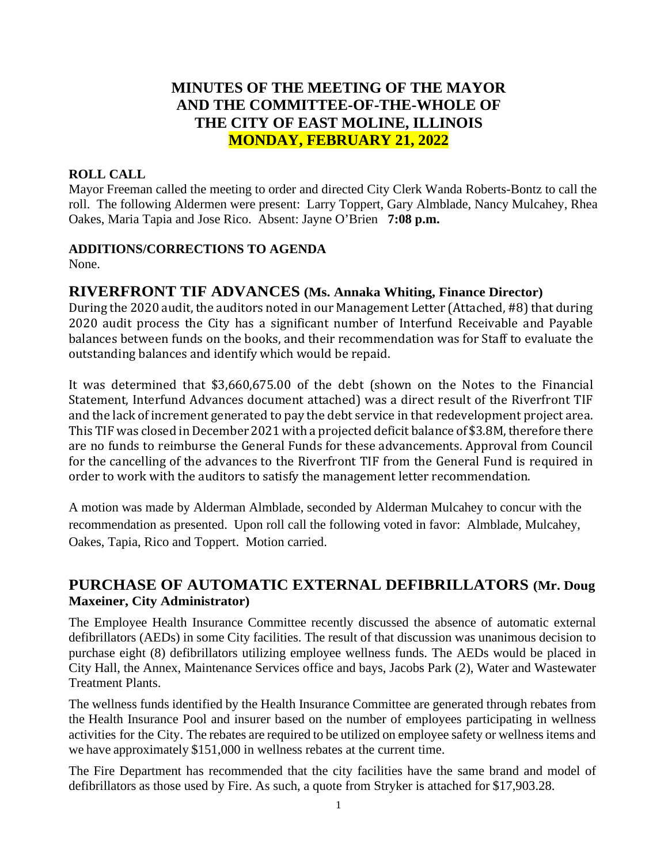# **MINUTES OF THE MEETING OF THE MAYOR AND THE COMMITTEE-OF-THE-WHOLE OF THE CITY OF EAST MOLINE, ILLINOIS MONDAY, FEBRUARY 21, 2022**

### **ROLL CALL**

Mayor Freeman called the meeting to order and directed City Clerk Wanda Roberts-Bontz to call the roll. The following Aldermen were present: Larry Toppert, Gary Almblade, Nancy Mulcahey, Rhea Oakes, Maria Tapia and Jose Rico. Absent: Jayne O'Brien **7:08 p.m.**

### **ADDITIONS/CORRECTIONS TO AGENDA**

None.

## **RIVERFRONT TIF ADVANCES (Ms. Annaka Whiting, Finance Director)**

During the 2020 audit, the auditors noted in our Management Letter (Attached, #8) that during 2020 audit process the City has a significant number of Interfund Receivable and Payable balances between funds on the books, and their recommendation was for Staff to evaluate the outstanding balances and identify which would be repaid.

It was determined that \$3,660,675.00 of the debt (shown on the Notes to the Financial Statement, Interfund Advances document attached) was a direct result of the Riverfront TIF and the lack of increment generated to pay the debt service in that redevelopment project area. This TIF was closed in December 2021 with a projected deficit balance of \$3.8M, therefore there are no funds to reimburse the General Funds for these advancements. Approval from Council for the cancelling of the advances to the Riverfront TIF from the General Fund is required in order to work with the auditors to satisfy the management letter recommendation.

A motion was made by Alderman Almblade, seconded by Alderman Mulcahey to concur with the recommendation as presented. Upon roll call the following voted in favor: Almblade, Mulcahey, Oakes, Tapia, Rico and Toppert. Motion carried.

# **PURCHASE OF AUTOMATIC EXTERNAL DEFIBRILLATORS (Mr. Doug Maxeiner, City Administrator)**

The Employee Health Insurance Committee recently discussed the absence of automatic external defibrillators (AEDs) in some City facilities. The result of that discussion was unanimous decision to purchase eight (8) defibrillators utilizing employee wellness funds. The AEDs would be placed in City Hall, the Annex, Maintenance Services office and bays, Jacobs Park (2), Water and Wastewater Treatment Plants.

The wellness funds identified by the Health Insurance Committee are generated through rebates from the Health Insurance Pool and insurer based on the number of employees participating in wellness activities for the City. The rebates are required to be utilized on employee safety or wellnessitems and we have approximately \$151,000 in wellness rebates at the current time.

The Fire Department has recommended that the city facilities have the same brand and model of defibrillators as those used by Fire. As such, a quote from Stryker is attached for \$17,903.28.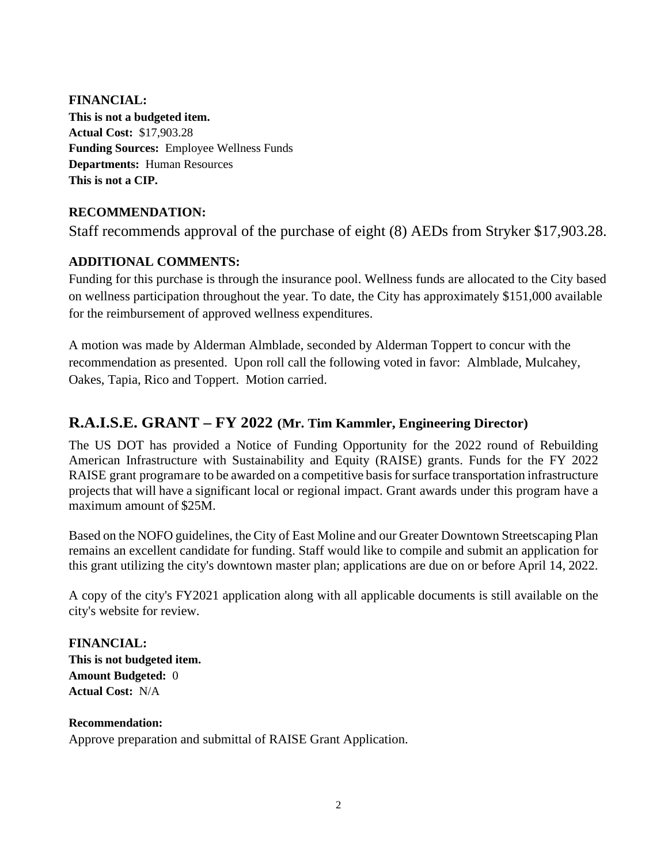**FINANCIAL: This is not a budgeted item. Actual Cost:** \$17,903.28 **Funding Sources:** Employee Wellness Funds **Departments:** Human Resources **This is not a CIP.**

### **RECOMMENDATION:**

Staff recommends approval of the purchase of eight (8) AEDs from Stryker \$17,903.28.

### **ADDITIONAL COMMENTS:**

Funding for this purchase is through the insurance pool. Wellness funds are allocated to the City based on wellness participation throughout the year. To date, the City has approximately \$151,000 available for the reimbursement of approved wellness expenditures.

A motion was made by Alderman Almblade, seconded by Alderman Toppert to concur with the recommendation as presented. Upon roll call the following voted in favor: Almblade, Mulcahey, Oakes, Tapia, Rico and Toppert. Motion carried.

# **R.A.I.S.E. GRANT – FY 2022 (Mr. Tim Kammler, Engineering Director)**

The US DOT has provided a Notice of Funding Opportunity for the 2022 round of Rebuilding American Infrastructure with Sustainability and Equity (RAISE) grants. Funds for the FY 2022 RAISE grant programare to be awarded on a competitive basis for surface transportation infrastructure projects that will have a significant local or regional impact. Grant awards under this program have a maximum amount of \$25M.

Based on the NOFO guidelines, the City of East Moline and our Greater Downtown Streetscaping Plan remains an excellent candidate for funding. Staff would like to compile and submit an application for this grant utilizing the city's downtown master plan; applications are due on or before April 14, 2022.

A copy of the city's FY2021 application along with all applicable documents is still available on the city's website for review.

**FINANCIAL: This is not budgeted item. Amount Budgeted:** 0 **Actual Cost:** N/A

#### **Recommendation:**

Approve preparation and submittal of RAISE Grant Application.